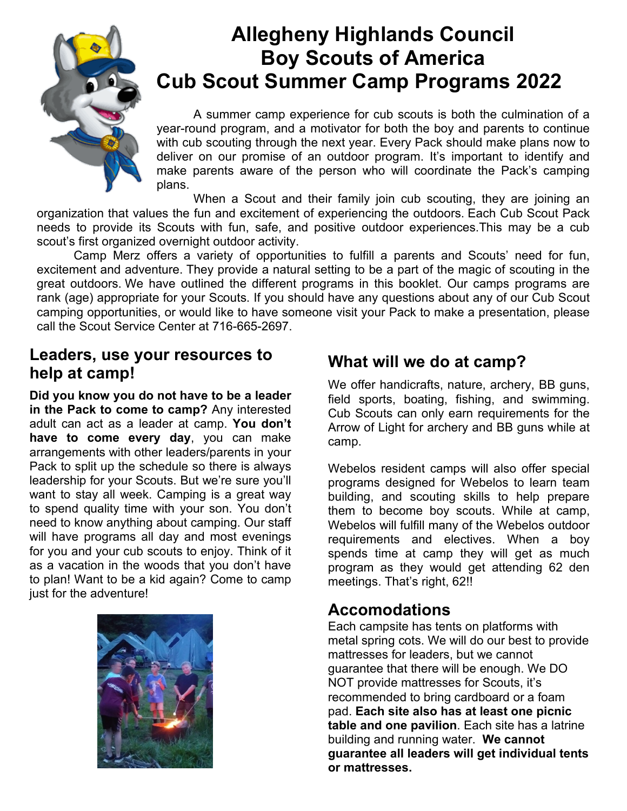

# **Allegheny Highlands Council Boy Scouts of America Cub Scout Summer Camp Programs 2022**

A summer camp experience for cub scouts is both the culmination of a year-round program, and a motivator for both the boy and parents to continue with cub scouting through the next year. Every Pack should make plans now to deliver on our promise of an outdoor program. It's important to identify and make parents aware of the person who will coordinate the Pack's camping plans.

When a Scout and their family join cub scouting, they are joining an organization that values the fun and excitement of experiencing the outdoors. Each Cub Scout Pack needs to provide its Scouts with fun, safe, and positive outdoor experiences.This may be a cub scout's first organized overnight outdoor activity.

Camp Merz offers a variety of opportunities to fulfill a parents and Scouts' need for fun, excitement and adventure. They provide a natural setting to be a part of the magic of scouting in the great outdoors. We have outlined the different programs in this booklet. Our camps programs are rank (age) appropriate for your Scouts. If you should have any questions about any of our Cub Scout camping opportunities, or would like to have someone visit your Pack to make a presentation, please call the Scout Service Center at 716-665-2697.

## **Leaders, use your resources to help at camp!**

**Did you know you do not have to be a leader in the Pack to come to camp?** Any interested adult can act as a leader at camp. **You don't have to come every day**, you can make arrangements with other leaders/parents in your Pack to split up the schedule so there is always leadership for your Scouts. But we're sure you'll want to stay all week. Camping is a great way to spend quality time with your son. You don't need to know anything about camping. Our staff will have programs all day and most evenings for you and your cub scouts to enjoy. Think of it as a vacation in the woods that you don't have to plan! Want to be a kid again? Come to camp just for the adventure!



## **What will we do at camp?**

We offer handicrafts, nature, archery, BB guns, field sports, boating, fishing, and swimming. Cub Scouts can only earn requirements for the Arrow of Light for archery and BB guns while at camp.

Webelos resident camps will also offer special programs designed for Webelos to learn team building, and scouting skills to help prepare them to become boy scouts. While at camp, Webelos will fulfill many of the Webelos outdoor requirements and electives. When a boy spends time at camp they will get as much program as they would get attending 62 den meetings. That's right, 62!!

#### **Accomodations**

Each campsite has tents on platforms with metal spring cots. We will do our best to provide mattresses for leaders, but we cannot guarantee that there will be enough. We DO NOT provide mattresses for Scouts, it's recommended to bring cardboard or a foam pad. **Each site also has at least one picnic table and one pavilion**. Each site has a latrine building and running water. **We cannot guarantee all leaders will get individual tents or mattresses.**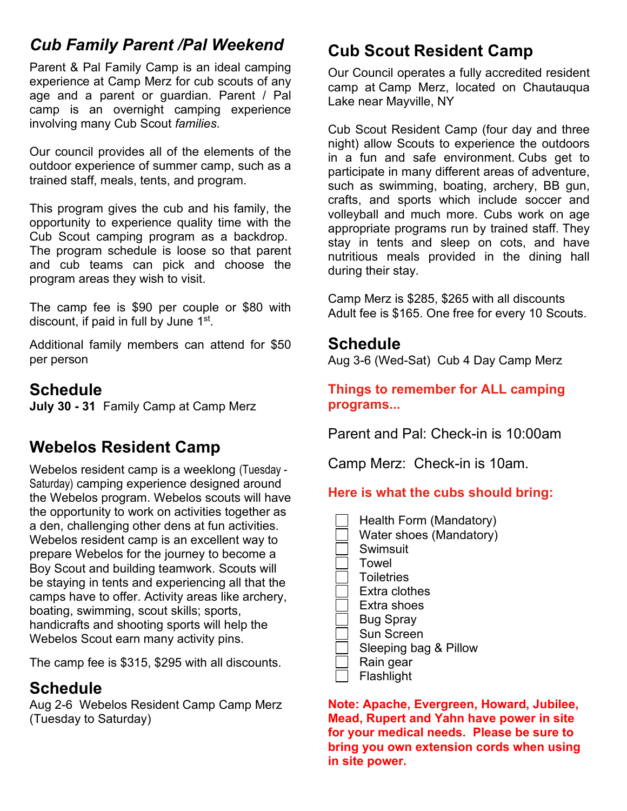# *Cub Family Parent /Pal Weekend*

Parent & Pal Family Camp is an ideal camping experience at Camp Merz for cub scouts of any age and a parent or guardian. Parent / Pal camp is an overnight camping experience involving many Cub Scout *families*.

Our council provides all of the elements of the outdoor experience of summer camp, such as a trained staff, meals, tents, and program.

This program gives the cub and his family, the opportunity to experience quality time with the Cub Scout camping program as a backdrop. The program schedule is loose so that parent and cub teams can pick and choose the program areas they wish to visit.

The camp fee is \$90 per couple or \$80 with discount, if paid in full by June 1st.

Additional family members can attend for \$50 per person

#### **Schedule**

**July 30 - 31** Family Camp at Camp Merz

## **Webelos Resident Camp**

Webelos resident camp is a weeklong (Tuesday - Saturday) camping experience designed around the Webelos program. Webelos scouts will have the opportunity to work on activities together as a den, challenging other dens at fun activities. Webelos resident camp is an excellent way to prepare Webelos for the journey to become a Boy Scout and building teamwork. Scouts will be staying in tents and experiencing all that the camps have to offer. Activity areas like archery, boating, swimming, scout skills; sports, handicrafts and shooting sports will help the Webelos Scout earn many activity pins.

The camp fee is \$315, \$295 with all discounts.

## **Schedule**

Aug 2-6 Webelos Resident Camp Camp Merz (Tuesday to Saturday)

# **Cub Scout Resident Camp**

Our Council operates a fully accredited resident camp at Camp Merz, located on Chautauqua Lake near Mayville, NY

Cub Scout Resident Camp (four day and three night) allow Scouts to experience the outdoors in a fun and safe environment. Cubs get to participate in many different areas of adventure, such as swimming, boating, archery, BB gun, crafts, and sports which include soccer and volleyball and much more. Cubs work on age appropriate programs run by trained staff. They stay in tents and sleep on cots, and have nutritious meals provided in the dining hall during their stay.

Camp Merz is \$285, \$265 with all discounts Adult fee is \$165. One free for every 10 Scouts.

### **Schedule**

Aug 3-6 (Wed-Sat) Cub 4 Day Camp Merz

**Things to remember for ALL camping programs...**

Parent and Pal: Check-in is 10:00am

Camp Merz: Check-in is 10am.

#### **Here is what the cubs should bring:**

 Health Form (Mandatory) Water shoes (Mandatory) Swimsuit Towel **Toiletries**  Extra clothes Extra shoes Bug Spray Sun Screen Sleeping bag & Pillow Rain gear Flashlight

**Note: Apache, Evergreen, Howard, Jubilee, Mead, Rupert and Yahn have power in site for your medical needs. Please be sure to bring you own extension cords when using in site power.**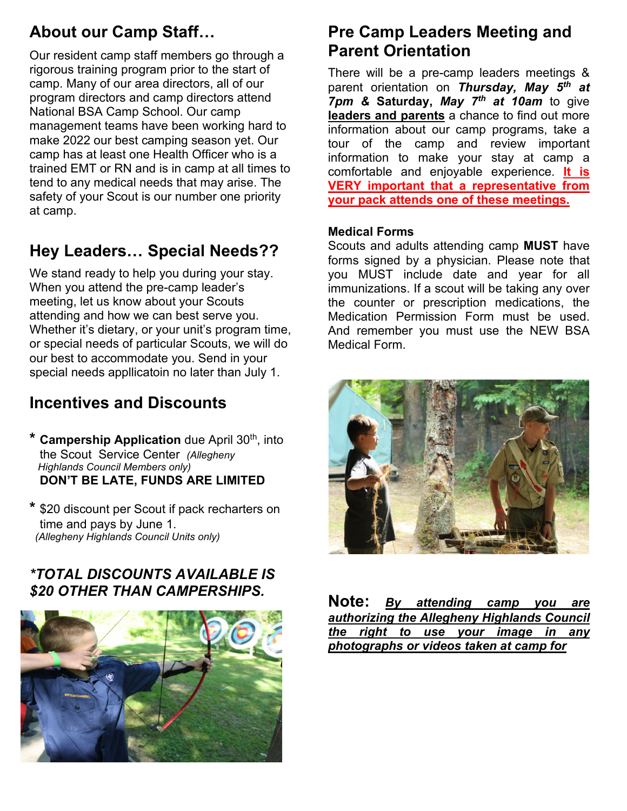# **About our Camp Staff…**

Our resident camp staff members go through a rigorous training program prior to the start of camp. Many of our area directors, all of our program directors and camp directors attend National BSA Camp School. Our camp management teams have been working hard to make 2022 our best camping season yet. Our camp has at least one Health Officer who is a trained EMT or RN and is in camp at all times to tend to any medical needs that may arise. The safety of your Scout is our number one priority at camp.

# **Hey Leaders… Special Needs??**

We stand ready to help you during your stay. When you attend the pre-camp leader's meeting, let us know about your Scouts attending and how we can best serve you. Whether it's dietary, or your unit's program time, or special needs of particular Scouts, we will do our best to accommodate you. Send in your special needs appllicatoin no later than July 1.

# **Incentives and Discounts**

- **Campership Application** due April 30<sup>th</sup>, into the Scout Service Center *(Allegheny Highlands Council Members only)*  **DON'T BE LATE, FUNDS ARE LIMITED**
- **\*** \$20 discount per Scout if pack recharters on time and pays by June 1. *(Allegheny Highlands Council Units only)*

#### *\*TOTAL DISCOUNTS AVAILABLE IS \$20 OTHER THAN CAMPERSHIPS.*



## **Pre Camp Leaders Meeting and Parent Orientation**

There will be a pre-camp leaders meetings & parent orientation on *Thursday, May 5th at 7pm &* **Saturday,** *May 7th at 10am* to give **leaders and parents** a chance to find out more information about our camp programs, take a tour of the camp and review important information to make your stay at camp a comfortable and enjoyable experience. **It is VERY important that a representative from your pack attends one of these meetings.**

#### **Medical Forms**

Scouts and adults attending camp **MUST** have forms signed by a physician. Please note that you MUST include date and year for all immunizations. If a scout will be taking any over the counter or prescription medications, the Medication Permission Form must be used. And remember you must use the NEW BSA Medical Form.



**Note:** *By attending camp you are authorizing the Allegheny Highlands Council the right to use your image in any photographs or videos taken at camp for*